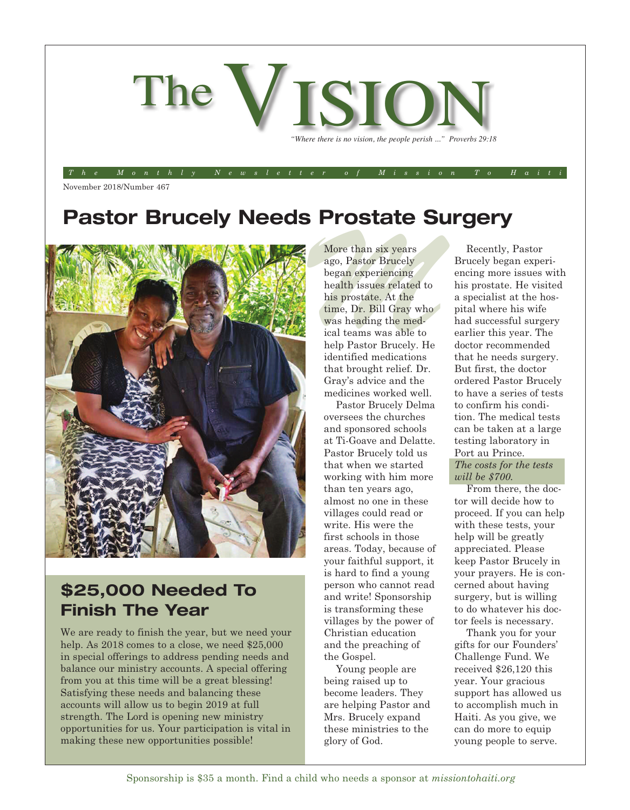

*The Monthly Newsletter of Mission To Haiti*

November 2018/Number 467

## **Pastor Brucely Needs Prostate Surgery**



#### **\$25,000 Needed To Finish The Year**

We are ready to finish the year, but we need your help. As 2018 comes to a close, we need \$25,000 in special offerings to address pending needs and balance our ministry accounts. A special offering from you at this time will be a great blessing! Satisfying these needs and balancing these accounts will allow us to begin 2019 at full strength. The Lord is opening new ministry opportunities for us. Your participation is vital in making these new opportunities possible!

More than six years<br>ago, Pastor Brucely<br>began experiencing<br>health issues related to<br>his prostate. At the<br>time, Dr. Bill Gray who<br>was heading the med-More than six years ago, Pastor Brucely began experiencing health issues related to his prostate. At the time, Dr. Bill Gray who was heading the medical teams was able to help Pastor Brucely. He identified medications that brought relief. Dr. Gray's advice and the medicines worked well.

> Pastor Brucely Delma oversees the churches and sponsored schools at Ti-Goave and Delatte. Pastor Brucely told us that when we started working with him more than ten years ago, almost no one in these villages could read or write. His were the first schools in those areas. Today, because of your faithful support, it is hard to find a young person who cannot read and write! Sponsorship is transforming these villages by the power of Christian education and the preaching of the Gospel.

Young people are being raised up to become leaders. They are helping Pastor and Mrs. Brucely expand these ministries to the glory of God.

Recently, Pastor Brucely began experiencing more issues with his prostate. He visited a specialist at the hospital where his wife had successful surgery earlier this year. The doctor recommended that he needs surgery. But first, the doctor ordered Pastor Brucely to have a series of tests to confirm his condition. The medical tests can be taken at a large testing laboratory in Port au Prince. *The costs for the tests* 

*will be \$700.* From there, the doctor will decide how to proceed. If you can help with these tests, your help will be greatly appreciated. Please keep Pastor Brucely in your prayers. He is concerned about having surgery, but is willing to do whatever his doctor feels is necessary.

Thank you for your gifts for our Founders' Challenge Fund. We received \$26,120 this year. Your gracious support has allowed us to accomplish much in Haiti. As you give, we can do more to equip young people to serve.